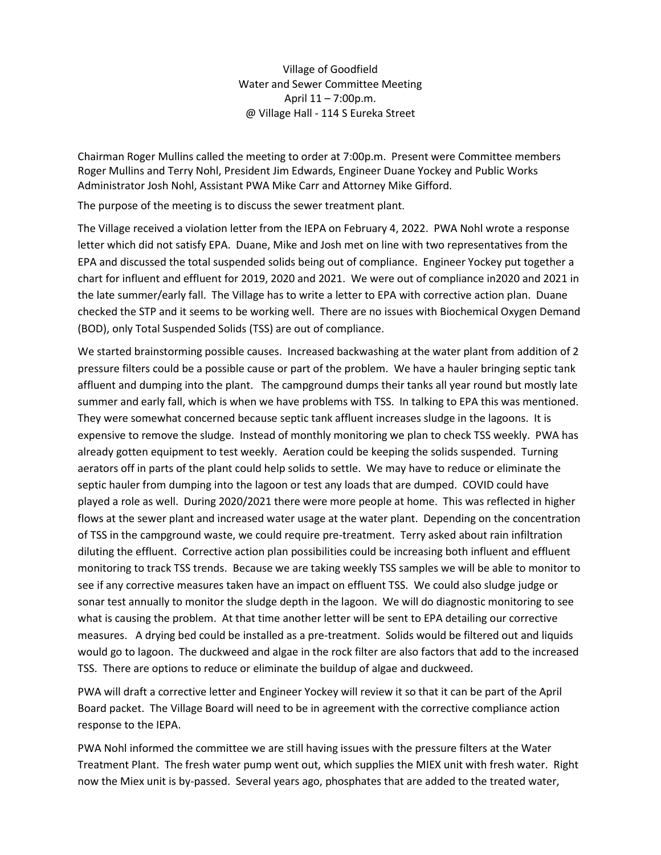Village of Goodfield Water and Sewer Committee Meeting April 11 – 7:00p.m. @ Village Hall - 114 S Eureka Street

Chairman Roger Mullins called the meeting to order at 7:00p.m. Present were Committee members Roger Mullins and Terry Nohl, President Jim Edwards, Engineer Duane Yockey and Public Works Administrator Josh Nohl, Assistant PWA Mike Carr and Attorney Mike Gifford.

The purpose of the meeting is to discuss the sewer treatment plant.

The Village received a violation letter from the IEPA on February 4, 2022. PWA Nohl wrote a response letter which did not satisfy EPA. Duane, Mike and Josh met on line with two representatives from the EPA and discussed the total suspended solids being out of compliance. Engineer Yockey put together a chart for influent and effluent for 2019, 2020 and 2021. We were out of compliance in2020 and 2021 in the late summer/early fall. The Village has to write a letter to EPA with corrective action plan. Duane checked the STP and it seems to be working well. There are no issues with Biochemical Oxygen Demand (BOD), only Total Suspended Solids (TSS) are out of compliance.

We started brainstorming possible causes. Increased backwashing at the water plant from addition of 2 pressure filters could be a possible cause or part of the problem. We have a hauler bringing septic tank affluent and dumping into the plant. The campground dumps their tanks all year round but mostly late summer and early fall, which is when we have problems with TSS. In talking to EPA this was mentioned. They were somewhat concerned because septic tank affluent increases sludge in the lagoons. It is expensive to remove the sludge. Instead of monthly monitoring we plan to check TSS weekly. PWA has already gotten equipment to test weekly. Aeration could be keeping the solids suspended. Turning aerators off in parts of the plant could help solids to settle. We may have to reduce or eliminate the septic hauler from dumping into the lagoon or test any loads that are dumped. COVID could have played a role as well. During 2020/2021 there were more people at home. This was reflected in higher flows at the sewer plant and increased water usage at the water plant. Depending on the concentration of TSS in the campground waste, we could require pre-treatment. Terry asked about rain infiltration diluting the effluent. Corrective action plan possibilities could be increasing both influent and effluent monitoring to track TSS trends. Because we are taking weekly TSS samples we will be able to monitor to see if any corrective measures taken have an impact on effluent TSS. We could also sludge judge or sonar test annually to monitor the sludge depth in the lagoon. We will do diagnostic monitoring to see what is causing the problem. At that time another letter will be sent to EPA detailing our corrective measures. A drying bed could be installed as a pre-treatment. Solids would be filtered out and liquids would go to lagoon. The duckweed and algae in the rock filter are also factors that add to the increased TSS. There are options to reduce or eliminate the buildup of algae and duckweed.

PWA will draft a corrective letter and Engineer Yockey will review it so that it can be part of the April Board packet. The Village Board will need to be in agreement with the corrective compliance action response to the IEPA.

PWA Nohl informed the committee we are still having issues with the pressure filters at the Water Treatment Plant. The fresh water pump went out, which supplies the MIEX unit with fresh water. Right now the Miex unit is by-passed. Several years ago, phosphates that are added to the treated water,